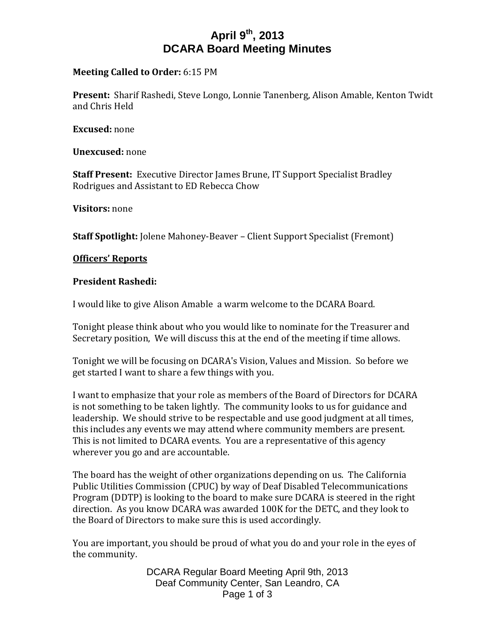# **April 9th, 2013 DCARA Board Meeting Minutes**

## **Meeting Called to Order:** 6:15 PM

**Present:** Sharif Rashedi, Steve Longo, Lonnie Tanenberg, Alison Amable, Kenton Twidt and Chris Held

**Excused:** none

**Unexcused:** none

**Staff Present:** Executive Director James Brune, IT Support Specialist Bradley Rodrigues and Assistant to ED Rebecca Chow

**Visitors:** none

**Staff Spotlight:** Jolene Mahoney-Beaver – Client Support Specialist (Fremont)

## **Officers' Reports**

## **President Rashedi:**

I would like to give Alison Amable a warm welcome to the DCARA Board.

Tonight please think about who you would like to nominate for the Treasurer and Secretary position, We will discuss this at the end of the meeting if time allows.

Tonight we will be focusing on DCARA's Vision, Values and Mission. So before we get started I want to share a few things with you.

I want to emphasize that your role as members of the Board of Directors for DCARA is not something to be taken lightly. The community looks to us for guidance and leadership. We should strive to be respectable and use good judgment at all times, this includes any events we may attend where community members are present. This is not limited to DCARA events. You are a representative of this agency wherever you go and are accountable.

The board has the weight of other organizations depending on us. The California Public Utilities Commission (CPUC) by way of Deaf Disabled Telecommunications Program (DDTP) is looking to the board to make sure DCARA is steered in the right direction. As you know DCARA was awarded 100K for the DETC, and they look to the Board of Directors to make sure this is used accordingly.

You are important, you should be proud of what you do and your role in the eyes of the community.

> DCARA Regular Board Meeting April 9th, 2013 Deaf Community Center, San Leandro, CA Page 1 of 3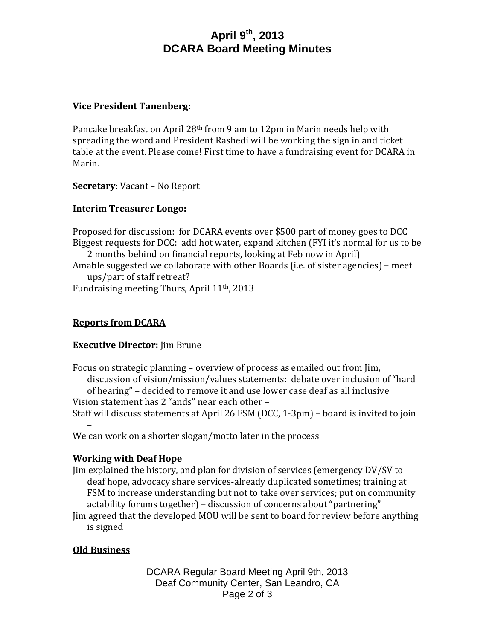# **April 9th, 2013 DCARA Board Meeting Minutes**

## **Vice President Tanenberg:**

Pancake breakfast on April 28th from 9 am to 12pm in Marin needs help with spreading the word and President Rashedi will be working the sign in and ticket table at the event. Please come! First time to have a fundraising event for DCARA in Marin.

**Secretary**: Vacant – No Report

## **Interim Treasurer Longo:**

Proposed for discussion: for DCARA events over \$500 part of money goes to DCC Biggest requests for DCC: add hot water, expand kitchen (FYI it's normal for us to be

2 months behind on financial reports, looking at Feb now in April)

Amable suggested we collaborate with other Boards (i.e. of sister agencies) – meet ups/part of staff retreat?

Fundraising meeting Thurs, April 11th, 2013

## **Reports from DCARA**

## **Executive Director:** Jim Brune

Focus on strategic planning – overview of process as emailed out from Jim, discussion of vision/mission/values statements: debate over inclusion of "hard of hearing" – decided to remove it and use lower case deaf as all inclusive Vision statement has 2 "ands" near each other –

Staff will discuss statements at April 26 FSM (DCC, 1-3pm) – board is invited to join –

We can work on a shorter slogan/motto later in the process

## **Working with Deaf Hope**

Jim explained the history, and plan for division of services (emergency DV/SV to deaf hope, advocacy share services-already duplicated sometimes; training at FSM to increase understanding but not to take over services; put on community actability forums together) – discussion of concerns about "partnering" Jim agreed that the developed MOU will be sent to board for review before anything

is signed

## **Old Business**

DCARA Regular Board Meeting April 9th, 2013 Deaf Community Center, San Leandro, CA Page 2 of 3